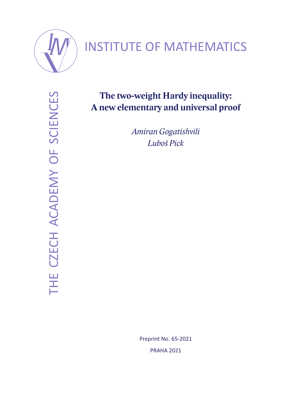

# INSTITUTE OF MATHEMATICS

THE CZECH ACADEMY OF SCIENCES THE CZECH ACADEMY OF SCIENCES

## **The two-weight Hardy inequality: A new elementary and universal proof**

*Amiran Gogatishvili Luboš Pick*

> Preprint No. 65-2021 PRAHA 2021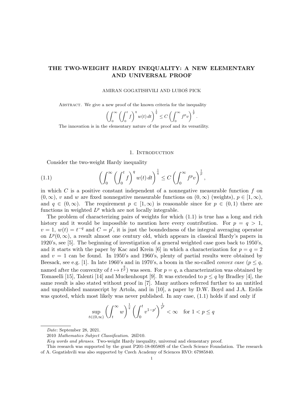### THE TWO-WEIGHT HARDY INEQUALITY: A NEW ELEMENTARY AND UNIVERSAL PROOF

#### AMIRAN GOGATISHVILI AND LUBOŠ PICK

ABSTRACT. We give a new proof of the known criteria for the inequality

$$
\left(\int_0^\infty \left(\int_0^t f\right)^q w(t)\,dt\right)^{\frac{1}{q}} \leq C\left(\int_0^\infty f^p v\right)^{\frac{1}{p}}.
$$

The innovation is in the elementary nature of the proof and its versatility.

#### 1. Introduction

Consider the two-weight Hardy inequality

(1.1) 
$$
\left(\int_0^\infty \left(\int_0^t f\right)^q w(t) dt\right)^{\frac{1}{q}} \leq C \left(\int_0^\infty f^p v\right)^{\frac{1}{p}},
$$

in which  $C$  is a positive constant independent of a nonnegative measurable function  $f$  on  $(0, \infty)$ , v and w are fixed nonnegative measurable functions on  $(0, \infty)$  (weights),  $p \in [1, \infty)$ , and  $q \in (0,\infty)$ . The requirement  $p \in [1,\infty)$  is reasonable since for  $p \in (0,1)$  there are functions in weighted  $L^p$  which are not locally integrable.

The problem of characterizing pairs of weights for which (1.1) is true has a long and rich history and it would be impossible to mention here every contribution. For  $p = q > 1$ ,  $v = 1, w(t) = t^{-q}$  and  $C = p'$ , it is just the boundedness of the integral averaging operator on  $L^p(0,\infty)$ , a result almost one century old, which appears in classical Hardy's papers in 1920's, see [5]. The beginning of investigation of a general weighted case goes back to 1950's, and it starts with the paper by Kac and Krein [6] in which a characterization for  $p = q = 2$ and  $v = 1$  can be found. In 1950's and 1960's, plenty of partial results were obtained by Beesack, see e.g. [1]. In late 1960's and in 1970's, a boom in the so-called *convex case* ( $p \leq q$ , named after the convexity of  $t \mapsto t^{\frac{q}{p}}$  was seen. For  $p = q$ , a characterization was obtained by Tomaselli [15], Talenti [14] and Muckenhoupt [9]. It was extended to  $p \leq q$  by Bradley [4], the same result is also stated without proof in [7]. Many authors referred further to an untitled and unpublished manuscript by Artola, and in  $[10]$ , a paper by D.W. Boyd and J.A. Erdős was quoted, which most likely was never published. In any case, (1.1) holds if and only if

$$
\sup_{t\in(0,\infty)}\left(\int_t^\infty w\right)^{\frac{1}{q}}\left(\int_0^t v^{1-p'}\right)^{\frac{1}{p'}}<\infty\quad\text{for }1
$$

Date: September 28, 2021.

<sup>2010</sup> Mathematics Subject Classification. 26D10.

Key words and phrases. Two-weight Hardy inequality, universal and elementary proof.

This research was supported by the grant P201-18-00580S of the Czech Science Foundation. The research of A. Gogatishvili was also supported by Czech Academy of Sciences RVO: 67985840.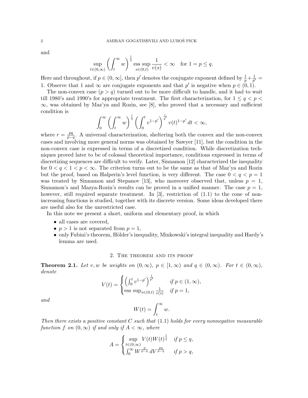and

$$
\sup_{t\in(0,\infty)}\left(\int_t^\infty w\right)^{\frac{1}{q}}\mathop{\mathrm{ess~sup}}_{s\in(0,t)}\frac{1}{v(s)} < \infty \quad \text{for $1=p\leq q$}.
$$

Here and throughout, if  $p \in (0, \infty]$ , then  $p'$  denotes the conjugate exponent defined by  $\frac{1}{p} + \frac{1}{p'}$  $\frac{1}{p'}=$ 1. Observe that 1 and  $\infty$  are conjugate exponents and that p' is negative when  $p \in (0,1)$ .

The non-convex case  $(p > q)$  turned out to be more difficult to handle, and it had to wait till 1980's and 1990's for appropriate treatment. The first characterization, for  $1 \le q < p <$ ∞, was obtained by Maz'ya and Rozin, see [8], who proved that a necessary and sufficient condition is

$$
\int_0^\infty \left(\int_t^\infty w\right)^{\frac{r}{q}}\left(\int_0^t v^{1-p'}\right)^{\frac{r}{q'}}v(t)^{1-p'}\,dt<\infty,
$$

where  $r = \frac{pq}{n}$  $\frac{pq}{p-q}$ . A universal characterization, sheltering both the convex and the non-convex cases and involving more general norms was obtained by Sawyer [11], but the condition in the non-convex case is expressed in terms of a discretized condition. While discretization techniques proved later to be of colossal theoretical importance, conditions expressed in terms of discretizing sequences are difficult to verify. Later, Sinnamon [12] characterized the inequality for  $0 < q < 1 < p < \infty$ . The criterion turns out to be the same as that of Maz'ya and Rozin but the proof, based on Halperin's level function, is very different. The case  $0 < q < p = 1$ was treated by Sinnamon and Stepanov [13], who moreover observed that, unless  $p = 1$ , Sinnamon's and Mazya-Rozin's results can be proved in a unified manner. The case  $p = 1$ , however, still required separate treatment. In [3], restriction of (1.1) to the cone of nonincreasing functions is studied, together with its discrete version. Some ideas developed there are useful also for the unrestricted case.

In this note we present a short, uniform and elementary proof, in which

- all cases are covered,
- $p > 1$  is not separated from  $p = 1$ ,
- only Fubini's theorem, Hölder's inequality, Minkowski's integral inequality and Hardy's lemma are used.

#### 2. The theorem and its proof

**Theorem 2.1.** Let v, w be weights on  $(0, \infty)$ ,  $p \in [1, \infty)$  and  $q \in (0, \infty)$ . For  $t \in (0, \infty)$ , denote

$$
V(t) = \begin{cases} \left(\int_0^t v^{1-p'}\right)^{\frac{1}{p'}} & \text{if } p \in (1, \infty),\\ \text{ess sup}_{s \in (0,t)} \frac{1}{v(s)} & \text{if } p = 1, \end{cases}
$$

and

$$
W(t) = \int_t^\infty w.
$$

Then there exists a positive constant C such that  $(1.1)$  holds for every nonnegative measurable function f on  $(0, \infty)$  if and only if  $A < \infty$ , where

$$
A = \begin{cases} \sup_{t \in (0,\infty)} V(t)W(t)^{\frac{1}{q}} & \text{if } p \leq q, \\ \int_0^\infty W^{\frac{p}{p-q}} dV^{\frac{pq}{p-q}} & \text{if } p > q, \end{cases}
$$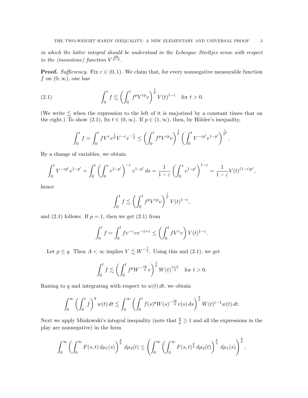in which the latter integral should be understood in the Lebesgue–Stieltjes sense with respect to the (monotone) function  $V^{\frac{pq}{p-q}}$ .

**Proof.** Sufficiency. Fix  $\varepsilon \in (0,1)$ . We claim that, for every nonnegative measurable function f on  $(0, \infty)$ , one has

(2.1) 
$$
\int_0^t f \lesssim \left(\int_0^t f^p V^{\varepsilon p} v\right)^{\frac{1}{p}} V(t)^{1-\varepsilon} \text{ for } t > 0.
$$

(We write  $\lesssim$  when the expression to the left of it is majorized by a constant times that on the right.) To show (2.1), fix  $t \in (0, \infty)$ . If  $p \in (1, \infty)$ , then, by Hölder's inequality,

$$
\int_0^t f = \int_0^t f V^{\varepsilon} v^{\frac{1}{p}} V^{-\varepsilon} v^{-\frac{1}{p}} \le \left( \int_0^t f^p V^{\varepsilon p} v \right)^{\frac{1}{p}} \left( \int_0^t V^{-\varepsilon p'} v^{1-p'} \right)^{\frac{1}{p'}}.
$$

By a change of variables, we obtain

$$
\int_0^t V^{-\varepsilon p'} v^{1-p'} = \int_0^t \left( \int_0^s v^{1-p'} \right)^{-\varepsilon} v^{1-p'} ds = \frac{1}{1-\varepsilon} \left( \int_0^s v^{1-p'} \right)^{1-\varepsilon} = \frac{1}{1-\varepsilon} V(t)^{(1-\varepsilon)p'},
$$

hence

$$
\int_0^t f \lesssim \left( \int_0^t f^p V^{\varepsilon p} v \right)^{\frac{1}{p}} V(t)^{1-\varepsilon},
$$

and  $(2.1)$  follows. If  $p = 1$ , then we get  $(2.1)$  from

$$
\int_0^t f = \int_0^t f v^{-\varepsilon} v v^{-1+\varepsilon} \le \left( \int_0^t f V^{\varepsilon} v \right) V(t)^{1-\varepsilon}.
$$

Let  $p \leq q$ . Then  $A < \infty$  implies  $V \lesssim W^{-\frac{1}{q}}$ . Using this and (2.1), we get

$$
\int_0^t f \lesssim \left( \int_0^t f^p W^{-\frac{\varepsilon p}{q}} v \right)^{\frac{1}{p}} W(t)^{\frac{\varepsilon - 1}{q}} \quad \text{for } t > 0.
$$

Raising to q and integrating with respect to  $w(t) dt$ , we obtain

$$
\int_0^\infty \left(\int_0^t f\right)^q w(t)\,dt \lesssim \int_0^\infty \left(\int_0^t f(s)^p W(s)^{-\frac{\varepsilon p}{q}} v(s)\,ds\right)^{\frac{q}{p}} W(t)^{\varepsilon-1} w(t)\,dt.
$$

Next we apply Minkowski's integral inequality (note that  $\frac{q}{p} \geq 1$  and all the expressions in the play are nonnegative) in the form

$$
\int_0^{\infty} \left( \int_0^{\infty} F(s,t) \, d\mu_1(s) \right)^{\frac{q}{p}} \, d\mu_2(t) \le \left( \int_0^{\infty} \left( \int_0^{\infty} F(s,t)^{\frac{q}{p}} \, d\mu_2(t) \right)^{\frac{p}{q}} \, d\mu_1(s) \right)^{\frac{q}{p}},
$$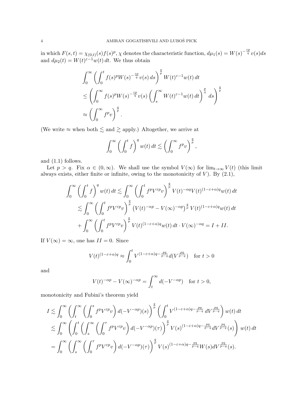in which  $F(s,t) = \chi_{(0,t)}(s) f(s)^p$ ,  $\chi$  denotes the characteristic function,  $d\mu_1(s) = W(s)^{-\frac{\varepsilon p}{q}} v(s) ds$ and  $d\mu_2(t) = W(t)^{\varepsilon - 1} w(t) dt$ . We thus obtain

$$
\int_0^\infty \left( \int_0^t f(s)^p W(s)^{-\frac{\varepsilon p}{q}} v(s) ds \right)^{\frac{q}{p}} W(t)^{\varepsilon-1} w(t) dt
$$
  
\n
$$
\leq \left( \int_0^\infty f(s)^p W(s)^{-\frac{\varepsilon p}{q}} v(s) \left( \int_s^\infty W(t)^{\varepsilon-1} w(t) dt \right)^{\frac{p}{q}} ds \right)^{\frac{q}{p}}
$$
  
\n
$$
\approx \left( \int_0^\infty f^p v \right)^{\frac{q}{p}}.
$$

(We write  $\approx$  when both  $\lesssim$  and  $\gtrsim$  apply.) Altogether, we arrive at

$$
\int_0^\infty \left(\int_0^t f\right)^q w(t) \, dt \lesssim \left(\int_0^\infty f^p v\right)^{\frac{q}{p}},
$$

and (1.1) follows.

Let  $p > q$ . Fix  $\alpha \in (0, \infty)$ . We shall use the symbol  $V(\infty)$  for  $\lim_{t\to\infty} V(t)$  (this limit always exists, either finite or infinite, owing to the monotonicity of  $V$ ). By  $(2.1)$ ,

$$
\int_0^\infty \left(\int_0^t f\right)^q w(t) dt \lesssim \int_0^\infty \left(\int_0^t f^p V^{\varepsilon p} v\right)^{\frac{q}{p}} V(t)^{-\alpha q} V(t)^{(1-\varepsilon+\alpha)q} w(t) dt
$$
  

$$
\lesssim \int_0^\infty \left(\int_0^t f^p V^{\varepsilon p} v\right)^{\frac{q}{p}} \left(V(t)^{-\alpha p} - V(\infty)^{-\alpha p}\right)^{\frac{q}{p}} V(t)^{(1-\varepsilon+\alpha)q} w(t) dt
$$
  

$$
+ \int_0^\infty \left(\int_0^t f^p V^{\varepsilon p} v\right)^{\frac{q}{p}} V(t)^{(1-\varepsilon+\alpha)q} w(t) dt \cdot V(\infty)^{-\alpha q} = I + II.
$$

If  $V(\infty) = \infty$ , one has  $II = 0$ . Since

$$
V(t)^{(1-\varepsilon+\alpha)q} \approx \int_0^t V^{(1-\varepsilon+\alpha)q-\frac{pq}{p-q}} d(V^{\frac{pq}{p-q}}) \text{ for } t > 0
$$

and

$$
V(t)^{-\alpha p} - V(\infty)^{-\alpha p} = \int_t^{\infty} d(-V^{-\alpha p}) \text{ for } t > 0,
$$

monotonicity and Fubini's theorem yield

$$
I \lesssim \int_0^\infty \left( \int_t^\infty \left( \int_0^s f^p V^{\varepsilon p} v \right) d(-V^{-\alpha p})(s) \right)^{\frac{q}{p}} \left( \int_0^t V^{(1-\varepsilon+\alpha)q-\frac{pq}{p-q}} dV^{\frac{pq}{p-q}} \right) w(t) dt
$$
  

$$
\lesssim \int_0^\infty \left( \int_0^t \left( \int_s^\infty \left( \int_0^\tau f^p V^{\varepsilon p} v \right) d(-V^{-\alpha p})(\tau) \right)^{\frac{q}{p}} V(s)^{(1-\varepsilon+\alpha)q-\frac{pq}{p-q}} dV^{\frac{pq}{p-q}}(s) \right) w(t) dt
$$
  

$$
= \int_0^\infty \left( \int_s^\infty \left( \int_0^\tau f^p V^{\varepsilon p} v \right) d(-V^{-\alpha p})(\tau) \right)^{\frac{q}{p}} V(s)^{(1-\varepsilon+\alpha)q-\frac{pq}{p-q}} W(s) dV^{\frac{pq}{p-q}}(s).
$$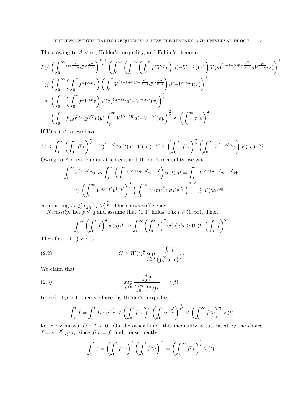Thus, owing to  $A < \infty$ , Hölder's inequality, and Fubini's theorem,

$$
I \lesssim \left(\int_0^\infty W^{\frac{p}{p-q}} dV^{\frac{pq}{p-q}} \right)^{\frac{p-q}{p}} \left(\int_0^\infty \left(\int_s^\infty \left(\int_0^\tau f^p V^{\varepsilon p} v\right) d(-V^{-\alpha p})(\tau)\right) V(s)^{(1-\varepsilon+\alpha)p-\frac{p^2}{p-q}} dV^{\frac{pq}{p-q}}(s)\right)^{\frac{q}{p}}
$$
  

$$
\lesssim \left(\int_0^\infty \left(\int_0^\tau f^p V^{\varepsilon p} v\right) \left(\int_0^\tau V^{(1-\varepsilon+\alpha)p-\frac{p^2}{p-q}} dV^{\frac{pq}{p-q}}\right) d(-V^{-\alpha p})(\tau)\right)^{\frac{q}{p}}
$$
  

$$
\approx \left(\int_0^\infty \left(\int_0^\tau f^p V^{\varepsilon p} v\right) V(\tau)^{(\alpha-\varepsilon)p} d(-V^{-\alpha p})(\tau)\right)^{\frac{q}{p}}
$$
  

$$
= \left(\int_0^\infty f(y)^p V(y)^{\varepsilon p} v(y) \int_y^\infty V^{(\alpha-\varepsilon)p} d(-V^{-\alpha p}) dy\right)^{\frac{q}{p}} \approx \left(\int_0^\infty f^p v\right)^{\frac{q}{p}}.
$$

If  $V(\infty) < \infty$ , we have

$$
II \leq \int_0^\infty \left( \int_0^t f^p v \right)^{\frac{q}{p}} V(t)^{(1+\alpha)q} w(t) dt \cdot V(\infty)^{-\alpha q} \leq \left( \int_0^\infty f^p v \right)^{\frac{q}{p}} \left( \int_0^\infty V^{(1+\alpha)q} w \right) V(\infty)^{-\alpha q}.
$$

Owing to  $A < \infty$ , Fubini's theorem, and Hölder's inequality, we get

$$
\int_0^\infty V^{(1+\alpha)q}w \approx \int_0^\infty \left(\int_0^t V^{\alpha q+q-p'}v^{1-p'}\right)w(t) dt = \int_0^\infty V^{\alpha q+q-p'}v^{1-p'}W
$$
  

$$
\lesssim \left(\int_0^\infty V^{\alpha p-p'}v^{1-p'}\right)^{\frac{q}{p}} \left(\int_0^\infty W(t)^{\frac{p}{p-q}}dV^{\frac{pq}{p-q}}\right)^{\frac{p-q}{p}} \lesssim V(\infty)^{\alpha q},
$$

establishing  $II \lesssim (\int_0^\infty f^p v)^{\frac{q}{p}}$ . This shows sufficiency.

*Necessity.* Let  $p \leq q$  and assume that (1.1) holds. Fix  $t \in (0, \infty)$ . Then

$$
\int_0^\infty \left(\int_0^s f\right)^q w(s) \, ds \ge \int_t^\infty \left(\int_0^s f\right)^q w(s) \, ds \ge W(t) \left(\int_0^t f\right)^q.
$$

Therefore, (1.1) yields

(2.2) 
$$
C \ge W(t)^{\frac{1}{q}} \sup_{f \ge 0} \frac{\int_0^t f}{(\int_0^\infty f^p v)^{\frac{1}{p}}}.
$$

We claim that

(2.3) 
$$
\sup_{f \ge 0} \frac{\int_0^t f}{(\int_0^\infty f^p v)^{\frac{1}{p}}} = V(t).
$$

Indeed, if  $p > 1$ , then we have, by Hölder's inequality,

$$
\int_0^t f = \int_0^t f v^{\frac{1}{p}} v^{-\frac{1}{p}} \le \left( \int_0^t f^p v \right)^{\frac{1}{p}} \left( \int_0^t v^{-\frac{p'}{p}} \right)^{\frac{1}{p'}} \le \left( \int_0^\infty f^p v \right)^{\frac{1}{p}} V(t)
$$

for every measurable  $f \geq 0$ . On the other hand, this inequality is saturated by the choice  $f = v^{1-p'} \chi_{(0,t)}$ , since  $f^p v = f$ , and, consequently,

$$
\int_0^t f = \left(\int_0^t f^p v\right)^{\frac{1}{p}} \left(\int_0^t f^p v\right)^{\frac{1}{p'}} = \left(\int_0^\infty f^p v\right)^{\frac{1}{p}} V(t).
$$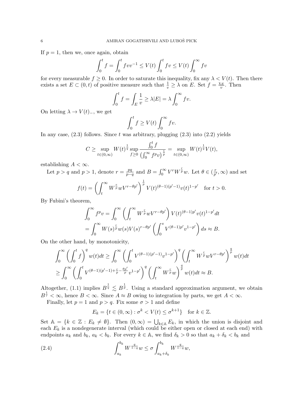If  $p = 1$ , then we, once again, obtain

$$
\int_0^t f = \int_0^t f v v^{-1} \le V(t) \int_0^t f v \le V(t) \int_0^\infty f v
$$

for every measurable  $f \geq 0$ . In order to saturate this inequality, fix any  $\lambda < V(t)$ . Then there exists a set  $E \subset (0,t)$  of positive measure such that  $\frac{1}{v} \geq \lambda$  on E. Set  $f = \frac{\chi_E}{v}$ . Then

$$
\int_0^t f = \int_E \frac{1}{v} \ge \lambda |E| = \lambda \int_0^\infty f v.
$$

On letting  $\lambda \to V(t)$ <sub>-</sub>, we get

$$
\int_0^t f \ge V(t) \int_0^\infty f v.
$$

In any case,  $(2.3)$  follows. Since t was arbitrary, plugging  $(2.3)$  into  $(2.2)$  yields

$$
C \geq \sup_{t \in (0,\infty)} W(t)^{\frac{1}{q}} \sup_{f \geq 0} \frac{\int_0^t f}{(\int_0^\infty f^p v)^{\frac{1}{p}}} = \sup_{t \in (0,\infty)} W(t)^{\frac{1}{q}} V(t),
$$

establishing  $A < \infty$ .

Let  $p > q$  and  $p > 1$ , denote  $r = \frac{pq}{n-q}$  $\frac{pq}{p-q}$  and  $B = \int_0^\infty V^r W^{\frac{r}{p}} w$ . Let  $\theta \in (\frac{r}{p'}$  $\frac{r}{p'}, \infty$  and set

$$
f(t) = \left(\int_t^{\infty} W^{\frac{r}{p}} wV^{r-\theta p'}\right)^{\frac{1}{p}} V(t)^{(\theta-1)(p'-1)} v(t)^{1-p'} \text{ for } t > 0.
$$

By Fubini's theorem,

$$
\int_0^\infty f^p v = \int_0^\infty \left( \int_t^\infty W^{\frac{r}{p}} w V^{r-\theta p'} \right) V(t)^{(\theta-1)p'} v(t)^{1-p'} dt
$$
  
= 
$$
\int_0^\infty W(s)^{\frac{r}{p}} w(s) V(s)^{r-\theta p'} \left( \int_0^s V^{(\theta-1)p'} v^{1-p'} \right) ds \approx B.
$$

On the other hand, by monotonicity,

$$
\int_0^\infty \left(\int_0^t f\right)^q w(t)dt \ge \int_0^\infty \left(\int_0^t V^{(\theta-1)(p'-1)} v^{1-p'}\right)^q \left(\int_t^\infty W^{\frac{r}{p}} w V^{r-\theta p'}\right)^{\frac{q}{p}} w(t)dt
$$
  

$$
\ge \int_0^\infty \left(\int_0^t V^{(\theta-1)(p'-1)+\frac{r}{p}-\frac{\theta p'}{p}} v^{1-p'}\right)^q \left(\int_t^\infty W^{\frac{r}{p}} w\right)^{\frac{q}{p}} w(t)dt \approx B.
$$

Altogether, (1.1) implies  $B^{\frac{1}{q}} \lesssim B^{\frac{1}{p}}$ . Using a standard approximation argument, we obtain  $B^{\frac{1}{r}} < \infty$ , hence  $B < \infty$ . Since  $A \approx B$  owing to integration by parts, we get  $A < \infty$ .

Finally, let  $p = 1$  and  $p > q$ . Fix some  $\sigma > 1$  and define

$$
E_k = \{ t \in (0, \infty) : \sigma^k < V(t) \le \sigma^{k+1} \} \quad \text{for } k \in \mathbb{Z}.
$$

Set  $\mathbb{A} = \{k \in \mathbb{Z} : E_k \neq \emptyset\}$ . Then  $(0, \infty) = \bigcup_{k \in \mathbb{A}} E_k$ , in which the union is disjoint and each  $E_k$  is a nondegenerate interval (which could be either open or closed at each end) with endpoints  $a_k$  and  $b_k$ ,  $a_k < b_k$ . For every  $k \in \mathbb{A}$ , we find  $\delta_k > 0$  so that  $a_k + \delta_k < b_k$  and

(2.4) 
$$
\int_{a_k}^{b_k} W^{\frac{q}{1-q}} w \le \sigma \int_{a_k + \delta_k}^{b_k} W^{\frac{q}{1-q}} w,
$$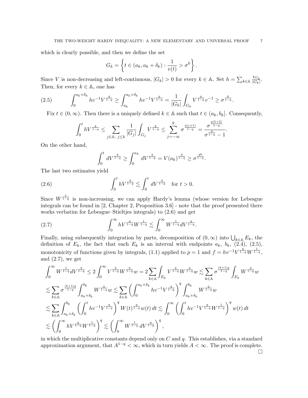which is clearly possible, and then we define the set

$$
G_k = \left\{ t \in (a_k, a_k + \delta_k) : \frac{1}{v(t)} > \sigma^k \right\}.
$$

Since V is non-decreasing and left-continuous,  $|G_k| > 0$  for every  $k \in \mathbb{A}$ . Set  $h = \sum_{k \in \mathbb{A}} \frac{\chi_{G_k}}{|G_k|}$  $\frac{\chi G_k}{|G_k|}$ . Then, for every  $k \in \mathbb{A}$ , one has

$$
(2.5) \qquad \int_0^{a_k+\delta_k} hv^{-1}V^{\frac{q}{1-q}} \ge \int_{a_k}^{a_k+\delta_k} hv^{-1}V^{\frac{q}{1-q}} = \frac{1}{|G_k|} \int_{G_k} V^{\frac{q}{1-q}} v^{-1} \ge \sigma^{\frac{k}{1-q}}.
$$

Fix  $t \in (0,\infty)$ . Then there is a uniquely defined  $k \in \mathbb{A}$  such that  $t \in (a_k, b_k]$ . Consequently,

$$
\int_0^t hV^{\frac{q}{1-q}} \le \sum_{j \in \mathbb{A}, j \le k} \frac{1}{|G_j|} \int_{G_j} V^{\frac{q}{1-q}} \le \sum_{j=-\infty}^k \sigma^{\frac{q(j+1)}{1-q}} = \frac{\sigma^{\frac{q(k+2)}{1-q}}}{\sigma^{\frac{q}{1-q}}-1}.
$$

On the other hand,

$$
\int_0^t dV^{\frac{q}{1-q}} \ge \int_0^{a_k} dV^{\frac{q}{1-q}} = V(a_k)^{\frac{q}{1-q}} \ge \sigma^{\frac{qk}{1-q}}.
$$

The last two estimates yield

(2.6) 
$$
\int_0^t hV^{\frac{q}{1-q}} \lesssim \int_0^t dV^{\frac{q}{1-q}} \text{ for } t > 0.
$$

Since  $W^{\frac{1}{1-q}}$  is non-increasing, we can apply Hardy's lemma (whose version for Lebesgue integrals can be found in [2, Chapter 2, Proposition 3.6] - note that the proof presented there works verbatim for Lebesgue–Stieltjes integrals) to (2.6) and get

(2.7) 
$$
\int_0^\infty hV^{\frac{q}{1-q}}W^{\frac{1}{1-q}} \lesssim \int_0^\infty W^{\frac{1}{1-q}}dV^{\frac{q}{1-q}}.
$$

Finally, using subsequently integration by parts, decomposition of  $(0, \infty)$  into  $\bigcup_{k \in \mathbb{A}} E_k$ , the definition of  $E_k$ , the fact that each  $E_k$  is an interval with endpoints  $a_k$ ,  $b_k$ ,  $(2.4)$ ,  $(2.5)$ , monotonicity of functions given by integrals, (1.1) applied to  $p = 1$  and  $f = hv^{-1}V^{\frac{q}{1-q}}W^{\frac{1}{1-q}}$ , and  $(2.7)$ , we get

$$
\begin{split} & \int_0^\infty W^{\frac{1}{1-q}} dV^{\frac{q}{1-q}} \leq 2 \int_0^\infty V^{\frac{q}{1-q}} W^{\frac{q}{1-q}} w = 2 \sum_{k \in \mathbb{A}} \int_{E_k} V^{\frac{q}{1-q}} W^{\frac{q}{1-q}} w \lesssim \sum_{k \in \mathbb{A}} \sigma^{\frac{(k+1)q}{1-q}} \int_{E_k} W^{\frac{q}{1-q}} w \\ & \lesssim \sum_{k \in \mathbb{A}} \sigma^{\frac{(k+1)q}{1-q}} \int_{a_k + \delta_k}^{b_k} W^{\frac{q}{1-q}} w \lesssim \sum_{k \in \mathbb{A}} \left( \int_0^{a_k + \delta_k} hv^{-1} V^{\frac{q}{1-q}} \right)^q \int_{a_k + \delta_k}^{b_k} W^{\frac{q}{1-q}} w \\ & \lesssim \sum_{k \in \mathbb{A}} \int_{a_k + \delta_k}^{b_k} \left( \int_0^t hv^{-1} V^{\frac{q}{1-q}} \right)^q W(t)^{\frac{q}{1-q}} w(t) \, dt \lesssim \int_0^\infty \left( \int_0^t hv^{-1} V^{\frac{q}{1-q}} W^{\frac{1}{1-q}} \right)^q w(t) \, dt \\ & \lesssim \left( \int_0^\infty h V^{\frac{q}{1-q}} W^{\frac{1}{1-q}} \right)^q \lesssim \left( \int_0^\infty W^{\frac{1}{1-q}} dV^{\frac{q}{1-q}} \right)^q, \end{split}
$$

in which the multiplicative constants depend only on  $C$  and  $q$ . This establishes, via a standard approximation argument, that  $A^{1-q} < \infty$ , which in turn yields  $A < \infty$ . The proof is complete.

 $\Box$